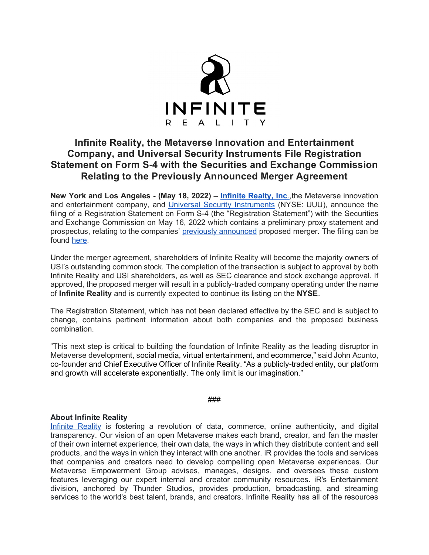

# **Infinite Reality, the Metaverse Innovation and Entertainment Company, and Universal Security Instruments File Registration Statement on Form S-4 with the Securities and Exchange Commission Relating to the Previously Announced Merger Agreement**

**New York and Los Angeles - (May 18, 2022) – [Infinite Realty, Inc](https://theinfinitereality.com/)**[.,](https://theinfinitereality.com/)the Metaverse innovation and entertainment company, and [Universal Security Instruments](https://www.universalsecurity.com/) (NYSE: UUU), announce the filing of a Registration Statement on Form S-4 (the "Registration Statement") with the Securities and Exchange Commission on May 16, 2022 which contains a preliminary proxy statement and prospectus, relating to the companies' [previously announced](https://www.prnewswire.com/news-releases/infinite-reality-inc-and-universal-security-instruments-inc-jointly-announce-merger-agreement-301490220.html) proposed merger. The filing can be found [here.](https://www.sec.gov/ix?doc=/Archives/edgar/data/102109/000110465922061481/uuu-20211231xs4.htm)

Under the merger agreement, shareholders of Infinite Reality will become the majority owners of USI's outstanding common stock. The completion of the transaction is subject to approval by both Infinite Reality and USI shareholders, as well as SEC clearance and stock exchange approval. If approved, the proposed merger will result in a publicly-traded company operating under the name of **Infinite Reality** and is currently expected to continue its listing on the **NYSE**.

The Registration Statement, which has not been declared effective by the SEC and is subject to change, contains pertinent information about both companies and the proposed business combination.

"This next step is critical to building the foundation of Infinite Reality as the leading disruptor in Metaverse development, social media, virtual entertainment, and ecommerce," said John Acunto, co-founder and Chief Executive Officer of Infinite Reality. "As a publicly-traded entity, our platform and growth will accelerate exponentially. The only limit is our imagination."

## ###

# **About Infinite Reality**

[Infinite Reality](https://theinfinitereality.com/) is fostering a revolution of data, commerce, online authenticity, and digital transparency. Our vision of an open Metaverse makes each brand, creator, and fan the master of their own internet experience, their own data, the ways in which they distribute content and sell products, and the ways in which they interact with one another. iR provides the tools and services that companies and creators need to develop compelling open Metaverse experiences. Our Metaverse Empowerment Group advises, manages, designs, and oversees these custom features leveraging our expert internal and creator community resources. iR's Entertainment division, anchored by Thunder Studios, provides production, broadcasting, and streaming services to the world's best talent, brands, and creators. Infinite Reality has all of the resources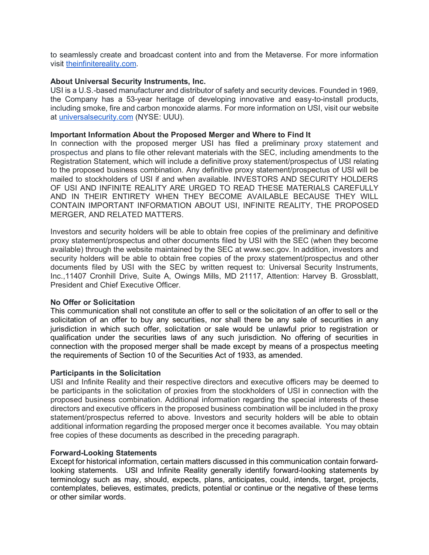to seamlessly create and broadcast content into and from the Metaverse. For more information visit [theinfinitereality.com.](https://theinfinitereality.com/)

## **About Universal Security Instruments, Inc.**

USI is a U.S.-based manufacturer and distributor of safety and security devices. Founded in 1969, the Company has a 53-year heritage of developing innovative and easy-to-install products, including smoke, fire and carbon monoxide alarms. For more information on USI, visit our website at [universalsecurity.com](http://www.universalsecurity.com/) (NYSE: UUU).

## **Important Information About the Proposed Merger and Where to Find It**

In connection with the proposed merger USI has filed a preliminary proxy statement and prospectus and plans to file other relevant materials with the SEC, including amendments to the Registration Statement, which will include a definitive proxy statement/prospectus of USI relating to the proposed business combination. Any definitive proxy statement/prospectus of USI will be mailed to stockholders of USI if and when available. INVESTORS AND SECURITY HOLDERS OF USI AND INFINITE REALITY ARE URGED TO READ THESE MATERIALS CAREFULLY AND IN THEIR ENTIRETY WHEN THEY BECOME AVAILABLE BECAUSE THEY WILL CONTAIN IMPORTANT INFORMATION ABOUT USI, INFINITE REALITY, THE PROPOSED MERGER, AND RELATED MATTERS.

Investors and security holders will be able to obtain free copies of the preliminary and definitive proxy statement/prospectus and other documents filed by USI with the SEC (when they become available) through the website maintained by the SEC at [www.sec.gov.](https://www.globenewswire.com/Tracker?data=NvLhDTe1j9mCP0dZE2w-LrG97Tu9r_tJEXGFC6I4saN-ufZWg0yFRv53k-u3UDHphnYSv30q8xgCwofg0kDYre5VuW7IXixnT0bSJwM13I1QPpC_gNQ-rpqEdRtRi9bm2CuoSAFhgEB-6qUko9etAh7-0WOuZFN_c2mdCNQ9V5c63dtiyMMf9Ye9cE63pFI0oRpAdslONs8-LKvzvEwXdKWtktAWfodQiTRpQqVLUzECkn8Ga7iYLDEiMFJkWAp2eulnwYNweq3kUe4cEoqqoM69E0YDokIhnzk89qU8NDJvX-X0puaS27-4lwIWfLBn6lZLBfNgboGLWJeMCSzqSgNpP85R_jBdnaCmJULHCMs=) In addition, investors and security holders will be able to obtain free copies of the proxy statement/prospectus and other documents filed by USI with the SEC by written request to: Universal Security Instruments, Inc.,11407 Cronhill Drive, Suite A, Owings Mills, MD 21117, Attention: Harvey B. Grossblatt, President and Chief Executive Officer.

# **No Offer or Solicitation**

This communication shall not constitute an offer to sell or the solicitation of an offer to sell or the solicitation of an offer to buy any securities, nor shall there be any sale of securities in any jurisdiction in which such offer, solicitation or sale would be unlawful prior to registration or qualification under the securities laws of any such jurisdiction. No offering of securities in connection with the proposed merger shall be made except by means of a prospectus meeting the requirements of Section 10 of the Securities Act of 1933, as amended.

## **Participants in the Solicitation**

USI and Infinite Reality and their respective directors and executive officers may be deemed to be participants in the solicitation of proxies from the stockholders of USI in connection with the proposed business combination. Additional information regarding the special interests of these directors and executive officers in the proposed business combination will be included in the proxy statement/prospectus referred to above. Investors and security holders will be able to obtain additional information regarding the proposed merger once it becomes available. You may obtain free copies of these documents as described in the preceding paragraph.

## **Forward-Looking Statements**

Except for historical information, certain matters discussed in this communication contain forwardlooking statements. USI and Infinite Reality generally identify forward-looking statements by terminology such as may, should, expects, plans, anticipates, could, intends, target, projects, contemplates, believes, estimates, predicts, potential or continue or the negative of these terms or other similar words.